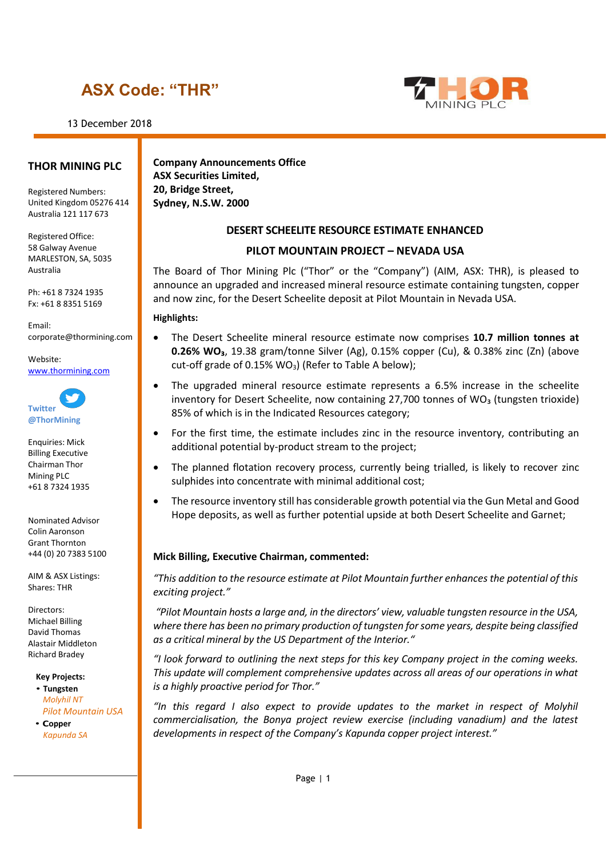# **ASX Code: "THR"**

13 December 2018



# **THOR MINING PLC**

Registered Numbers: United Kingdom 05276 414 Australia 121 117 673

Registered Office: 58 Galway Avenue MARLESTON, SA, 5035 Australia

Ph: +61 8 7324 1935 Fx: +61 8 8351 5169

Email: [corporate@thormining.com](mailto:corporate@thormining.com)

Website: [www.thormining.com](http://www.thormining.com/)



Enquiries: Mick Billing Executive Chairman Thor Mining PLC +61 8 7324 1935

Nominated Advisor Colin Aaronson Grant Thornton +44 (0) 20 7383 5100

AIM & ASX Listings: Shares: THR

Directors: Michael Billing David Thomas Alastair Middleton Richard Bradey

**Key Projects:**

• **Tungsten** *Molyhil NT Pilot Mountain USA*

• **Copper** *Kapunda SA*

**Company Announcements Office ASX Securities Limited, 20, Bridge Street, Sydney, N.S.W. 2000**

# **DESERT SCHEELITE RESOURCE ESTIMATE ENHANCED**

## **PILOT MOUNTAIN PROJECT – NEVADA USA**

The Board of Thor Mining Plc ("Thor" or the "Company") (AIM, ASX: THR), is pleased to announce an upgraded and increased mineral resource estimate containing tungsten, copper and now zinc, for the Desert Scheelite deposit at Pilot Mountain in Nevada USA.

#### **Highlights:**

- The Desert Scheelite mineral resource estimate now comprises **10.7 million tonnes at 0.26% WO₃**, 19.38 gram/tonne Silver (Ag), 0.15% copper (Cu), & 0.38% zinc (Zn) (above cut-off grade of 0.15%  $WO<sub>3</sub>$ ) (Refer to Table A below);
- The upgraded mineral resource estimate represents a 6.5% increase in the scheelite inventory for Desert Scheelite, now containing 27,700 tonnes of WO<sub>3</sub> (tungsten trioxide) 85% of which is in the Indicated Resources category;
- For the first time, the estimate includes zinc in the resource inventory, contributing an additional potential by-product stream to the project;
- The planned flotation recovery process, currently being trialled, is likely to recover zinc sulphides into concentrate with minimal additional cost;
- The resource inventory still has considerable growth potential via the Gun Metal and Good Hope deposits, as well as further potential upside at both Desert Scheelite and Garnet;

#### **Mick Billing, Executive Chairman, commented:**

*"This addition to the resource estimate at Pilot Mountain further enhances the potential of this exciting project."*

*"Pilot Mountain hosts a large and, in the directors' view, valuable tungsten resource in the USA, where there has been no primary production of tungsten for some years, despite being classified as a critical mineral by the US Department of the Interior."*

*"I look forward to outlining the next steps for this key Company project in the coming weeks. This update will complement comprehensive updates across all areas of our operations in what is a highly proactive period for Thor."*

*"In this regard I also expect to provide updates to the market in respect of Molyhil commercialisation, the Bonya project review exercise (including vanadium) and the latest developments in respect of the Company's Kapunda copper project interest."*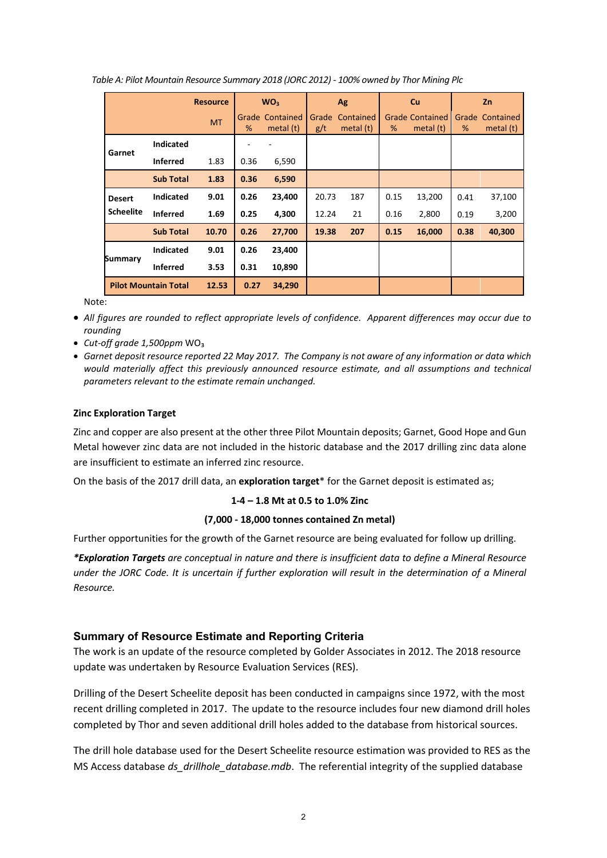|                  |                             | <b>Resource</b> |            | WO <sub>3</sub> |       | Ag        |      | <b>Cu</b>              |            | <b>Zn</b> |
|------------------|-----------------------------|-----------------|------------|-----------------|-------|-----------|------|------------------------|------------|-----------|
|                  |                             | <b>MT</b>       | Grade<br>% | Contained       | Grade | Contained | %    | <b>Grade Contained</b> | Grade<br>% | Contained |
|                  | <b>Indicated</b>            |                 |            | metal $(t)$     | g/t   | metal (t) |      | metal $(t)$            |            | metal (t) |
| Garnet           | <b>Inferred</b>             | 1.83            | 0.36       | 6,590           |       |           |      |                        |            |           |
|                  | <b>Sub Total</b>            | 1.83            | 0.36       | 6,590           |       |           |      |                        |            |           |
| <b>Desert</b>    | <b>Indicated</b>            | 9.01            | 0.26       | 23,400          | 20.73 | 187       | 0.15 | 13,200                 | 0.41       | 37,100    |
| <b>Scheelite</b> | <b>Inferred</b>             | 1.69            | 0.25       | 4,300           | 12.24 | 21        | 0.16 | 2,800                  | 0.19       | 3,200     |
|                  | <b>Sub Total</b>            | 10.70           | 0.26       | 27,700          | 19.38 | 207       | 0.15 | 16,000                 | 0.38       | 40,300    |
|                  | <b>Indicated</b>            | 9.01            | 0.26       | 23,400          |       |           |      |                        |            |           |
| <b>Summary</b>   | <b>Inferred</b>             | 3.53            | 0.31       | 10,890          |       |           |      |                        |            |           |
|                  | <b>Pilot Mountain Total</b> | 12.53           | 0.27       | 34,290          |       |           |      |                        |            |           |

*Table A: Pilot Mountain Resource Summary 2018 (JORC 2012) - 100% owned by Thor Mining Plc*

Note:

- *All figures are rounded to reflect appropriate levels of confidence. Apparent differences may occur due to rounding*
- *Cut-off grade 1,500ppm* WO₃
- *Garnet deposit resource reported 22 May 2017. The Company is not aware of any information or data which would materially affect this previously announced resource estimate, and all assumptions and technical parameters relevant to the estimate remain unchanged.*

## **Zinc Exploration Target**

Zinc and copper are also present at the other three Pilot Mountain deposits; Garnet, Good Hope and Gun Metal however zinc data are not included in the historic database and the 2017 drilling zinc data alone are insufficient to estimate an inferred zinc resource.

On the basis of the 2017 drill data, an **exploration target**\* for the Garnet deposit is estimated as;

#### **1-4 – 1.8 Mt at 0.5 to 1.0% Zinc**

#### **(7,000 - 18,000 tonnes contained Zn metal)**

Further opportunities for the growth of the Garnet resource are being evaluated for follow up drilling.

*\*Exploration Targets are conceptual in nature and there is insufficient data to define a Mineral Resource under the JORC Code. It is uncertain if further exploration will result in the determination of a Mineral Resource.*

# **Summary of Resource Estimate and Reporting Criteria**

The work is an update of the resource completed by Golder Associates in 2012. The 2018 resource update was undertaken by Resource Evaluation Services (RES).

Drilling of the Desert Scheelite deposit has been conducted in campaigns since 1972, with the most recent drilling completed in 2017. The update to the resource includes four new diamond drill holes completed by Thor and seven additional drill holes added to the database from historical sources.

The drill hole database used for the Desert Scheelite resource estimation was provided to RES as the MS Access database *ds\_drillhole\_database.mdb*. The referential integrity of the supplied database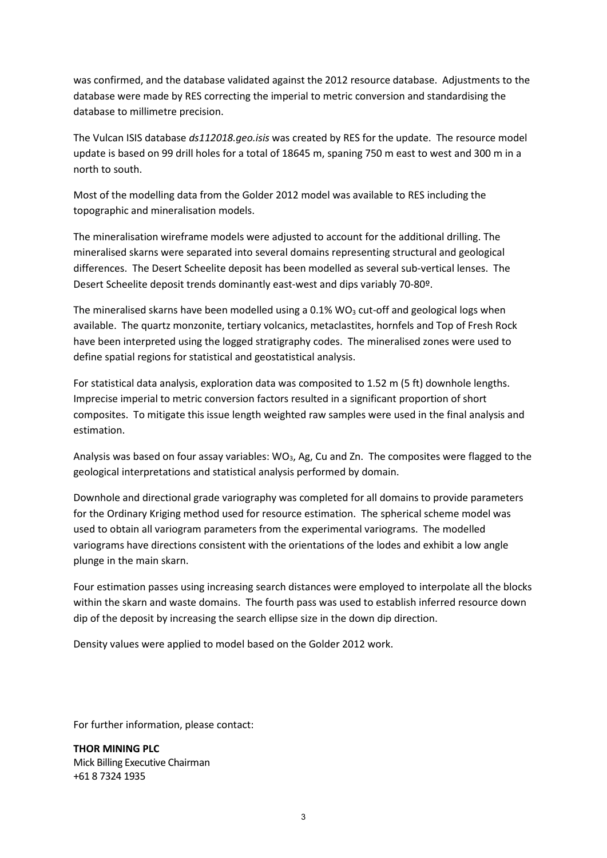was confirmed, and the database validated against the 2012 resource database. Adjustments to the database were made by RES correcting the imperial to metric conversion and standardising the database to millimetre precision.

The Vulcan ISIS database *ds112018.geo.isis* was created by RES for the update. The resource model update is based on 99 drill holes for a total of 18645 m, spaning 750 m east to west and 300 m in a north to south.

Most of the modelling data from the Golder 2012 model was available to RES including the topographic and mineralisation models.

The mineralisation wireframe models were adjusted to account for the additional drilling. The mineralised skarns were separated into several domains representing structural and geological differences. The Desert Scheelite deposit has been modelled as several sub-vertical lenses. The Desert Scheelite deposit trends dominantly east-west and dips variably 70-80º.

The mineralised skarns have been modelled using a  $0.1\%$  WO<sub>3</sub> cut-off and geological logs when available. The quartz monzonite, tertiary volcanics, metaclastites, hornfels and Top of Fresh Rock have been interpreted using the logged stratigraphy codes. The mineralised zones were used to define spatial regions for statistical and geostatistical analysis.

For statistical data analysis, exploration data was composited to 1.52 m (5 ft) downhole lengths. Imprecise imperial to metric conversion factors resulted in a significant proportion of short composites. To mitigate this issue length weighted raw samples were used in the final analysis and estimation.

Analysis was based on four assay variables:  $WO_3$ , Ag, Cu and Zn. The composites were flagged to the geological interpretations and statistical analysis performed by domain.

Downhole and directional grade variography was completed for all domains to provide parameters for the Ordinary Kriging method used for resource estimation. The spherical scheme model was used to obtain all variogram parameters from the experimental variograms. The modelled variograms have directions consistent with the orientations of the lodes and exhibit a low angle plunge in the main skarn.

Four estimation passes using increasing search distances were employed to interpolate all the blocks within the skarn and waste domains. The fourth pass was used to establish inferred resource down dip of the deposit by increasing the search ellipse size in the down dip direction.

Density values were applied to model based on the Golder 2012 work.

For further information, please contact:

**THOR MINING PLC** Mick Billing Executive Chairman +61 8 7324 1935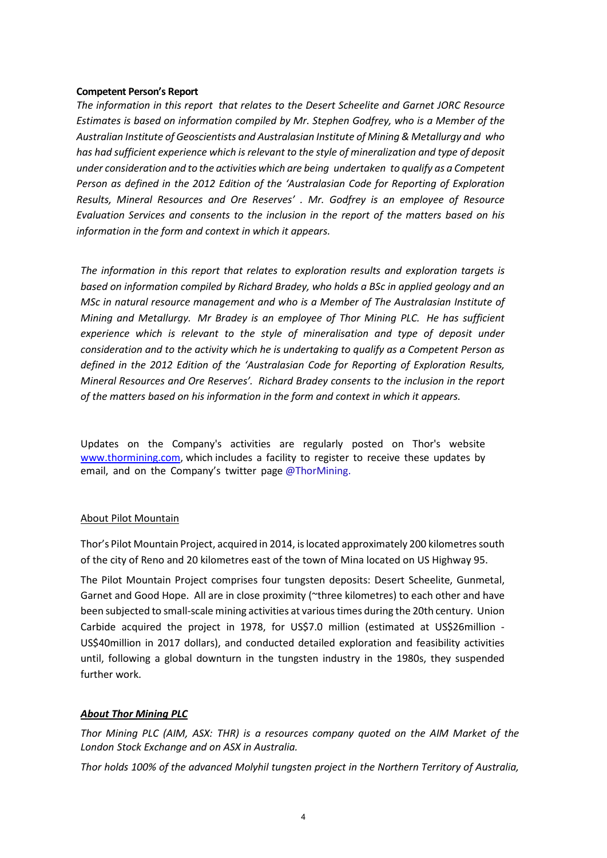#### **Competent Person's Report**

*The information in this report that relates to the Desert Scheelite and Garnet JORC Resource Estimates is based on information compiled by Mr. Stephen Godfrey, who is a Member of the Australian Institute of Geoscientists and Australasian Institute of Mining & Metallurgy and who has had sufficient experience which is relevant to the style of mineralization and type of deposit under consideration and to the activities which are being undertaken to qualify as a Competent Person as defined in the 2012 Edition of the 'Australasian Code for Reporting of Exploration Results, Mineral Resources and Ore Reserves' . Mr. Godfrey is an employee of Resource Evaluation Services and consents to the inclusion in the report of the matters based on his information in the form and context in which it appears.*

*The information in this report that relates to exploration results and exploration targets is based on information compiled by Richard Bradey, who holds a BSc in applied geology and an MSc in natural resource management and who is a Member of The Australasian Institute of Mining and Metallurgy. Mr Bradey is an employee of Thor Mining PLC. He has sufficient*  experience which is relevant to the style of mineralisation and type of deposit under *consideration and to the activity which he is undertaking to qualify as a Competent Person as defined in the 2012 Edition of the 'Australasian Code for Reporting of Exploration Results, Mineral Resources and Ore Reserves'. Richard Bradey consents to the inclusion in the report of the matters based on his information in the form and context in which it appears.*

Updates on the Company's activities are regularly posted on Thor's website [www.thormining.com,](http://www.thormining.com/) which includes a facility to register to receive these updates by email, and on the Company's twitter page @ThorMining.

#### About Pilot Mountain

Thor's Pilot Mountain Project, acquired in 2014, is located approximately 200 kilometres south of the city of Reno and 20 kilometres east of the town of Mina located on US Highway 95.

The Pilot Mountain Project comprises four tungsten deposits: Desert Scheelite, Gunmetal, Garnet and Good Hope. All are in close proximity (~three kilometres) to each other and have been subjected to small-scale mining activities at various times during the 20th century. Union Carbide acquired the project in 1978, for US\$7.0 million (estimated at US\$26million - US\$40million in 2017 dollars), and conducted detailed exploration and feasibility activities until, following a global downturn in the tungsten industry in the 1980s, they suspended further work.

# *About Thor Mining PLC*

*Thor Mining PLC (AIM, ASX: THR) is a resources company quoted on the AIM Market of the London Stock Exchange and on ASX in Australia.*

*Thor holds 100% of the advanced Molyhil tungsten project in the Northern Territory of Australia,*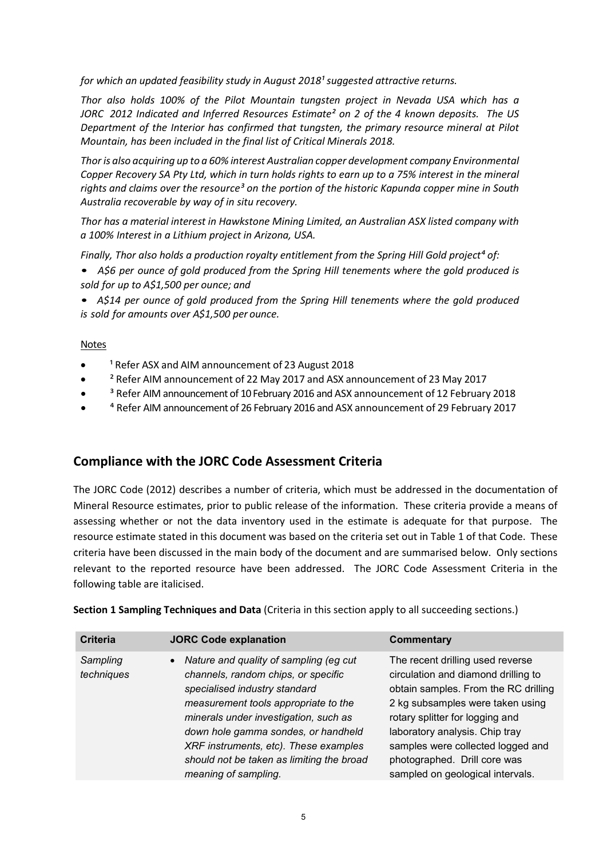*for which an updated feasibility study in August 2018<sup>1</sup> suggested attractive returns.* 

*Thor also holds 100% of the Pilot Mountain tungsten project in Nevada USA which has a JORC 2012 Indicated and Inferred Resources Estimate² on 2 of the 4 known deposits. The US Department of the Interior has confirmed that tungsten, the primary resource mineral at Pilot Mountain, has been included in the final list of Critical Minerals 2018.*

*Thor is also acquiring up to a 60% interest Australian copper development company Environmental* Copper Recovery SA Pty Ltd, which in turn holds rights to earn up to a 75% interest in the mineral *rights and claims over the resource³ on the portion of the historic Kapunda copper mine in South Australia recoverable by way of in situ recovery.* 

*Thor has a material interest in Hawkstone Mining Limited, an Australian ASX listed company with a 100% Interest in a Lithium project in Arizona, USA.*

*Finally, Thor also holds a production royalty entitlement from the Spring Hill Gold project⁴ of:*

• *A\$6 per ounce of gold produced from the Spring Hill tenements where the gold produced is sold for up to A\$1,500 per ounce; and*

• *A\$14 per ounce of gold produced from the Spring Hill tenements where the gold produced is sold for amounts over A\$1,500 per ounce.*

#### Notes

- <sup>1</sup> Refer ASX and AIM announcement of 23 August 2018
- ² Refer AIM announcement of 22 May 2017 and ASX announcement of 23 May 2017
- <sup>3</sup> Refer AIM announcement of 10 February 2016 and ASX announcement of 12 February 2018
- ⁴ Refer AIM announcement of 26 February 2016 and ASX announcement of 29 February 2017

# **Compliance with the JORC Code Assessment Criteria**

The JORC Code (2012) describes a number of criteria, which must be addressed in the documentation of Mineral Resource estimates, prior to public release of the information. These criteria provide a means of assessing whether or not the data inventory used in the estimate is adequate for that purpose. The resource estimate stated in this document was based on the criteria set out in Table 1 of that Code. These criteria have been discussed in the main body of the document and are summarised below. Only sections relevant to the reported resource have been addressed. The JORC Code Assessment Criteria in the following table are italicised.

| <b>Criteria</b>        | <b>JORC Code explanation</b>                                                                                                                                                                                                                                                                                                                           | <b>Commentary</b>                                                                                                                                                                                                                                                                                                                 |
|------------------------|--------------------------------------------------------------------------------------------------------------------------------------------------------------------------------------------------------------------------------------------------------------------------------------------------------------------------------------------------------|-----------------------------------------------------------------------------------------------------------------------------------------------------------------------------------------------------------------------------------------------------------------------------------------------------------------------------------|
| Sampling<br>techniques | • Nature and quality of sampling (eg cut<br>channels, random chips, or specific<br>specialised industry standard<br>measurement tools appropriate to the<br>minerals under investigation, such as<br>down hole gamma sondes, or handheld<br>XRF instruments, etc). These examples<br>should not be taken as limiting the broad<br>meaning of sampling. | The recent drilling used reverse<br>circulation and diamond drilling to<br>obtain samples. From the RC drilling<br>2 kg subsamples were taken using<br>rotary splitter for logging and<br>laboratory analysis. Chip tray<br>samples were collected logged and<br>photographed. Drill core was<br>sampled on geological intervals. |

**Section 1 Sampling Techniques and Data** (Criteria in this section apply to all succeeding sections.)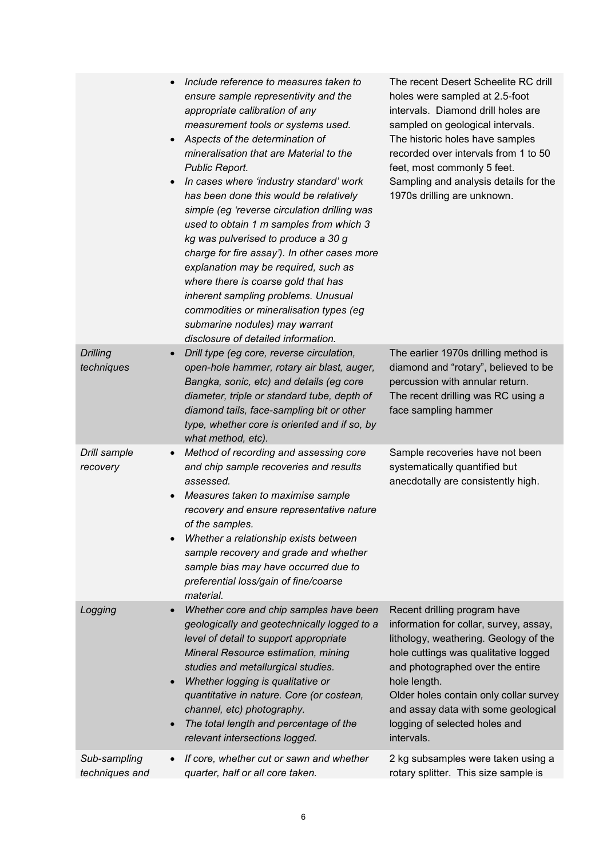|                                | Include reference to measures taken to<br>ensure sample representivity and the<br>appropriate calibration of any<br>measurement tools or systems used.<br>Aspects of the determination of<br>mineralisation that are Material to the<br>Public Report.<br>In cases where 'industry standard' work<br>has been done this would be relatively<br>simple (eg 'reverse circulation drilling was<br>used to obtain 1 m samples from which 3<br>kg was pulverised to produce a 30 g<br>charge for fire assay'). In other cases more<br>explanation may be required, such as<br>where there is coarse gold that has<br>inherent sampling problems. Unusual<br>commodities or mineralisation types (eg<br>submarine nodules) may warrant<br>disclosure of detailed information. | The recent Desert Scheelite RC drill<br>holes were sampled at 2.5-foot<br>intervals. Diamond drill holes are<br>sampled on geological intervals.<br>The historic holes have samples<br>recorded over intervals from 1 to 50<br>feet, most commonly 5 feet.<br>Sampling and analysis details for the<br>1970s drilling are unknown.          |
|--------------------------------|-------------------------------------------------------------------------------------------------------------------------------------------------------------------------------------------------------------------------------------------------------------------------------------------------------------------------------------------------------------------------------------------------------------------------------------------------------------------------------------------------------------------------------------------------------------------------------------------------------------------------------------------------------------------------------------------------------------------------------------------------------------------------|---------------------------------------------------------------------------------------------------------------------------------------------------------------------------------------------------------------------------------------------------------------------------------------------------------------------------------------------|
| <b>Drilling</b><br>techniques  | Drill type (eg core, reverse circulation,<br>open-hole hammer, rotary air blast, auger,<br>Bangka, sonic, etc) and details (eg core<br>diameter, triple or standard tube, depth of<br>diamond tails, face-sampling bit or other<br>type, whether core is oriented and if so, by<br>what method, etc).                                                                                                                                                                                                                                                                                                                                                                                                                                                                   | The earlier 1970s drilling method is<br>diamond and "rotary", believed to be<br>percussion with annular return.<br>The recent drilling was RC using a<br>face sampling hammer                                                                                                                                                               |
| Drill sample<br>recovery       | Method of recording and assessing core<br>$\bullet$<br>and chip sample recoveries and results<br>assessed.<br>Measures taken to maximise sample<br>$\bullet$<br>recovery and ensure representative nature<br>of the samples.<br>Whether a relationship exists between<br>sample recovery and grade and whether<br>sample bias may have occurred due to<br>preferential loss/gain of fine/coarse<br>material.                                                                                                                                                                                                                                                                                                                                                            | Sample recoveries have not been<br>systematically quantified but<br>anecdotally are consistently high.                                                                                                                                                                                                                                      |
| Logging                        | Whether core and chip samples have been<br>geologically and geotechnically logged to a<br>level of detail to support appropriate<br>Mineral Resource estimation, mining<br>studies and metallurgical studies.<br>Whether logging is qualitative or<br>$\bullet$<br>quantitative in nature. Core (or costean,<br>channel, etc) photography.<br>The total length and percentage of the<br>$\bullet$<br>relevant intersections logged.                                                                                                                                                                                                                                                                                                                                     | Recent drilling program have<br>information for collar, survey, assay,<br>lithology, weathering. Geology of the<br>hole cuttings was qualitative logged<br>and photographed over the entire<br>hole length.<br>Older holes contain only collar survey<br>and assay data with some geological<br>logging of selected holes and<br>intervals. |
| Sub-sampling<br>techniques and | If core, whether cut or sawn and whether<br>quarter, half or all core taken.                                                                                                                                                                                                                                                                                                                                                                                                                                                                                                                                                                                                                                                                                            | 2 kg subsamples were taken using a<br>rotary splitter. This size sample is                                                                                                                                                                                                                                                                  |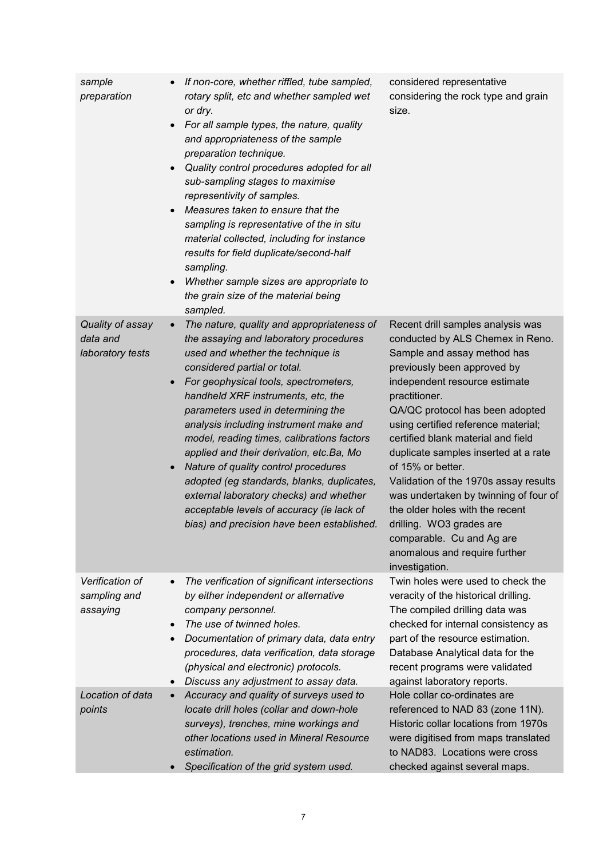| sample<br>preparation                            | If non-core, whether riffled, tube sampled,<br>$\bullet$<br>rotary split, etc and whether sampled wet<br>or dry.<br>For all sample types, the nature, quality<br>$\bullet$<br>and appropriateness of the sample<br>preparation technique.<br>Quality control procedures adopted for all<br>$\bullet$<br>sub-sampling stages to maximise<br>representivity of samples.<br>Measures taken to ensure that the<br>$\bullet$<br>sampling is representative of the in situ<br>material collected, including for instance<br>results for field duplicate/second-half<br>sampling.<br>Whether sample sizes are appropriate to<br>$\bullet$<br>the grain size of the material being<br>sampled. | considered representative<br>considering the rock type and grain<br>size.                                                                                                                                                                                                                                                                                                                                                                                                                                                                                                                           |
|--------------------------------------------------|----------------------------------------------------------------------------------------------------------------------------------------------------------------------------------------------------------------------------------------------------------------------------------------------------------------------------------------------------------------------------------------------------------------------------------------------------------------------------------------------------------------------------------------------------------------------------------------------------------------------------------------------------------------------------------------|-----------------------------------------------------------------------------------------------------------------------------------------------------------------------------------------------------------------------------------------------------------------------------------------------------------------------------------------------------------------------------------------------------------------------------------------------------------------------------------------------------------------------------------------------------------------------------------------------------|
| Quality of assay<br>data and<br>laboratory tests | The nature, quality and appropriateness of<br>$\bullet$<br>the assaying and laboratory procedures<br>used and whether the technique is<br>considered partial or total.<br>For geophysical tools, spectrometers,<br>$\bullet$<br>handheld XRF instruments, etc, the<br>parameters used in determining the<br>analysis including instrument make and<br>model, reading times, calibrations factors<br>applied and their derivation, etc. Ba, Mo<br>Nature of quality control procedures<br>$\bullet$<br>adopted (eg standards, blanks, duplicates,<br>external laboratory checks) and whether<br>acceptable levels of accuracy (ie lack of<br>bias) and precision have been established. | Recent drill samples analysis was<br>conducted by ALS Chemex in Reno.<br>Sample and assay method has<br>previously been approved by<br>independent resource estimate<br>practitioner.<br>QA/QC protocol has been adopted<br>using certified reference material;<br>certified blank material and field<br>duplicate samples inserted at a rate<br>of 15% or better.<br>Validation of the 1970s assay results<br>was undertaken by twinning of four of<br>the older holes with the recent<br>drilling. WO3 grades are<br>comparable. Cu and Ag are<br>anomalous and require further<br>investigation. |
| Verification of<br>sampling and<br>assaying      | The verification of significant intersections<br>$\bullet$<br>by either independent or alternative<br>company personnel.<br>The use of twinned holes.<br>$\bullet$<br>Documentation of primary data, data entry<br>$\bullet$<br>procedures, data verification, data storage<br>(physical and electronic) protocols.<br>Discuss any adjustment to assay data.<br>$\bullet$                                                                                                                                                                                                                                                                                                              | Twin holes were used to check the<br>veracity of the historical drilling.<br>The compiled drilling data was<br>checked for internal consistency as<br>part of the resource estimation.<br>Database Analytical data for the<br>recent programs were validated<br>against laboratory reports.                                                                                                                                                                                                                                                                                                         |
| Location of data<br>points                       | Accuracy and quality of surveys used to<br>$\bullet$<br>locate drill holes (collar and down-hole<br>surveys), trenches, mine workings and<br>other locations used in Mineral Resource<br>estimation.<br>Specification of the grid system used.                                                                                                                                                                                                                                                                                                                                                                                                                                         | Hole collar co-ordinates are<br>referenced to NAD 83 (zone 11N).<br>Historic collar locations from 1970s<br>were digitised from maps translated<br>to NAD83. Locations were cross<br>checked against several maps.                                                                                                                                                                                                                                                                                                                                                                                  |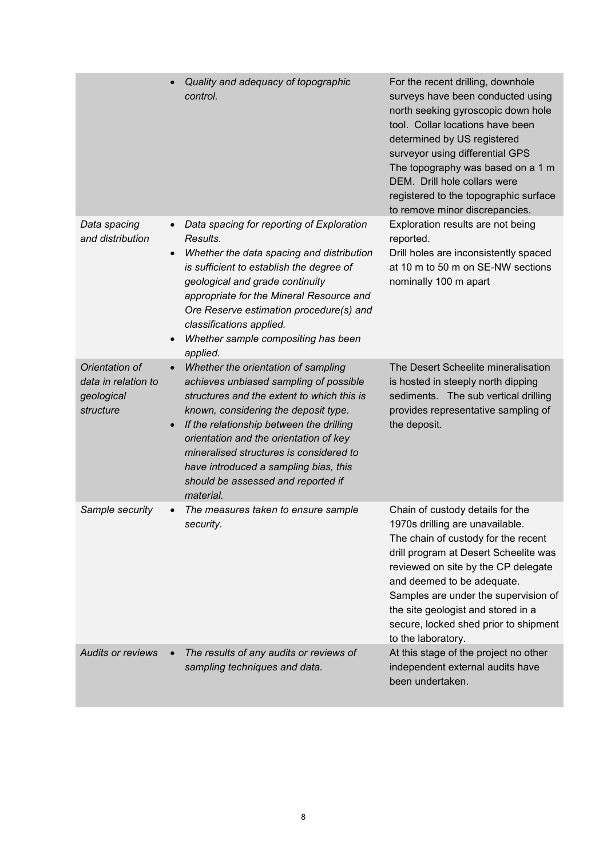|                                                                  | Quality and adequacy of topographic<br>control.                                                                                                                                                                                                                                                                                                                                                                            | For the recent drilling, downhole<br>surveys have been conducted using<br>north seeking gyroscopic down hole<br>tool. Collar locations have been<br>determined by US registered<br>surveyor using differential GPS<br>The topography was based on a 1 m<br>DEM. Drill hole collars were<br>registered to the topographic surface<br>to remove minor discrepancies.    |
|------------------------------------------------------------------|----------------------------------------------------------------------------------------------------------------------------------------------------------------------------------------------------------------------------------------------------------------------------------------------------------------------------------------------------------------------------------------------------------------------------|-----------------------------------------------------------------------------------------------------------------------------------------------------------------------------------------------------------------------------------------------------------------------------------------------------------------------------------------------------------------------|
| Data spacing<br>and distribution                                 | Data spacing for reporting of Exploration<br>Results.<br>Whether the data spacing and distribution<br>$\bullet$<br>is sufficient to establish the degree of<br>geological and grade continuity<br>appropriate for the Mineral Resource and<br>Ore Reserve estimation procedure(s) and<br>classifications applied.<br>Whether sample compositing has been<br>$\bullet$<br>applied.                                          | Exploration results are not being<br>reported.<br>Drill holes are inconsistently spaced<br>at 10 m to 50 m on SE-NW sections<br>nominally 100 m apart                                                                                                                                                                                                                 |
| Orientation of<br>data in relation to<br>geological<br>structure | Whether the orientation of sampling<br>$\bullet$<br>achieves unbiased sampling of possible<br>structures and the extent to which this is<br>known, considering the deposit type.<br>If the relationship between the drilling<br>$\bullet$<br>orientation and the orientation of key<br>mineralised structures is considered to<br>have introduced a sampling bias, this<br>should be assessed and reported if<br>material. | The Desert Scheelite mineralisation<br>is hosted in steeply north dipping<br>sediments. The sub vertical drilling<br>provides representative sampling of<br>the deposit.                                                                                                                                                                                              |
| Sample security                                                  | The measures taken to ensure sample<br>security.                                                                                                                                                                                                                                                                                                                                                                           | Chain of custody details for the<br>1970s drilling are unavailable.<br>The chain of custody for the recent<br>drill program at Desert Scheelite was<br>reviewed on site by the CP delegate<br>and deemed to be adequate.<br>Samples are under the supervision of<br>the site geologist and stored in a<br>secure, locked shed prior to shipment<br>to the laboratory. |
| <b>Audits or reviews</b>                                         | The results of any audits or reviews of<br>sampling techniques and data.                                                                                                                                                                                                                                                                                                                                                   | At this stage of the project no other<br>independent external audits have<br>been undertaken.                                                                                                                                                                                                                                                                         |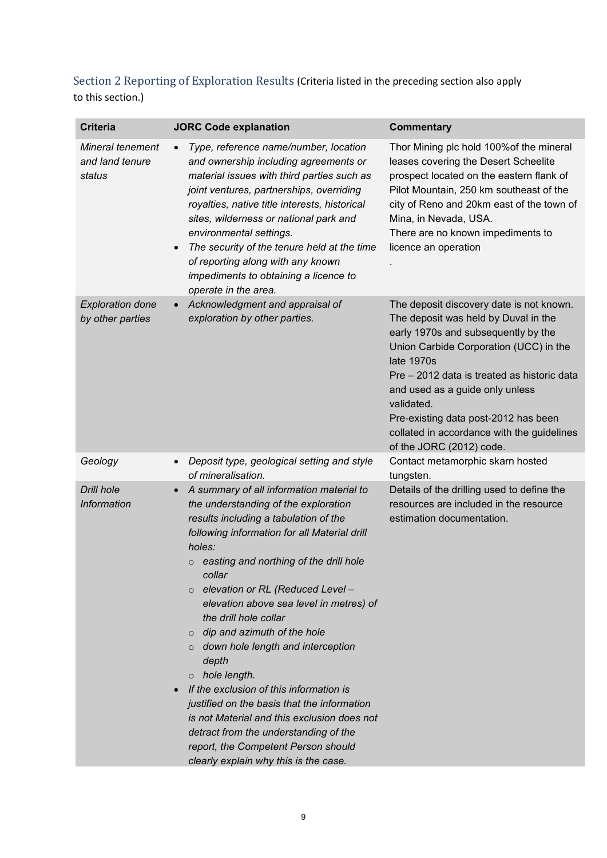Section 2 Reporting of Exploration Results (Criteria listed in the preceding section also apply to this section.)

| <b>Criteria</b>                               | <b>JORC Code explanation</b>                                                                                                                                                                                                                                                                                                                                                                                                                                                                                                                                                                                                                                                                                                                                                 | <b>Commentary</b>                                                                                                                                                                                                                                                                                                                                                                                 |
|-----------------------------------------------|------------------------------------------------------------------------------------------------------------------------------------------------------------------------------------------------------------------------------------------------------------------------------------------------------------------------------------------------------------------------------------------------------------------------------------------------------------------------------------------------------------------------------------------------------------------------------------------------------------------------------------------------------------------------------------------------------------------------------------------------------------------------------|---------------------------------------------------------------------------------------------------------------------------------------------------------------------------------------------------------------------------------------------------------------------------------------------------------------------------------------------------------------------------------------------------|
| Mineral tenement<br>and land tenure<br>status | Type, reference name/number, location<br>$\bullet$<br>and ownership including agreements or<br>material issues with third parties such as<br>joint ventures, partnerships, overriding<br>royalties, native title interests, historical<br>sites, wilderness or national park and<br>environmental settings.<br>The security of the tenure held at the time<br>$\bullet$<br>of reporting along with any known<br>impediments to obtaining a licence to<br>operate in the area.                                                                                                                                                                                                                                                                                                | Thor Mining plc hold 100% of the mineral<br>leases covering the Desert Scheelite<br>prospect located on the eastern flank of<br>Pilot Mountain, 250 km southeast of the<br>city of Reno and 20km east of the town of<br>Mina, in Nevada, USA.<br>There are no known impediments to<br>licence an operation                                                                                        |
| <b>Exploration done</b><br>by other parties   | Acknowledgment and appraisal of<br>$\bullet$<br>exploration by other parties.                                                                                                                                                                                                                                                                                                                                                                                                                                                                                                                                                                                                                                                                                                | The deposit discovery date is not known.<br>The deposit was held by Duval in the<br>early 1970s and subsequently by the<br>Union Carbide Corporation (UCC) in the<br>late 1970s<br>Pre - 2012 data is treated as historic data<br>and used as a guide only unless<br>validated.<br>Pre-existing data post-2012 has been<br>collated in accordance with the guidelines<br>of the JORC (2012) code. |
| Geology                                       | Deposit type, geological setting and style<br>$\bullet$<br>of mineralisation.                                                                                                                                                                                                                                                                                                                                                                                                                                                                                                                                                                                                                                                                                                | Contact metamorphic skarn hosted                                                                                                                                                                                                                                                                                                                                                                  |
| <b>Drill hole</b><br>Information              | A summary of all information material to<br>$\bullet$<br>the understanding of the exploration<br>results including a tabulation of the<br>following information for all Material drill<br>holes:<br>$\circ$ easting and northing of the drill hole<br>collar<br>elevation or RL (Reduced Level –<br>$\circ$<br>elevation above sea level in metres) of<br>the drill hole collar<br>dip and azimuth of the hole<br>$\circ$<br>$\circ$ down hole length and interception<br>depth<br>hole length.<br>$\circ$<br>If the exclusion of this information is<br>justified on the basis that the information<br>is not Material and this exclusion does not<br>detract from the understanding of the<br>report, the Competent Person should<br>clearly explain why this is the case. | tungsten.<br>Details of the drilling used to define the<br>resources are included in the resource<br>estimation documentation.                                                                                                                                                                                                                                                                    |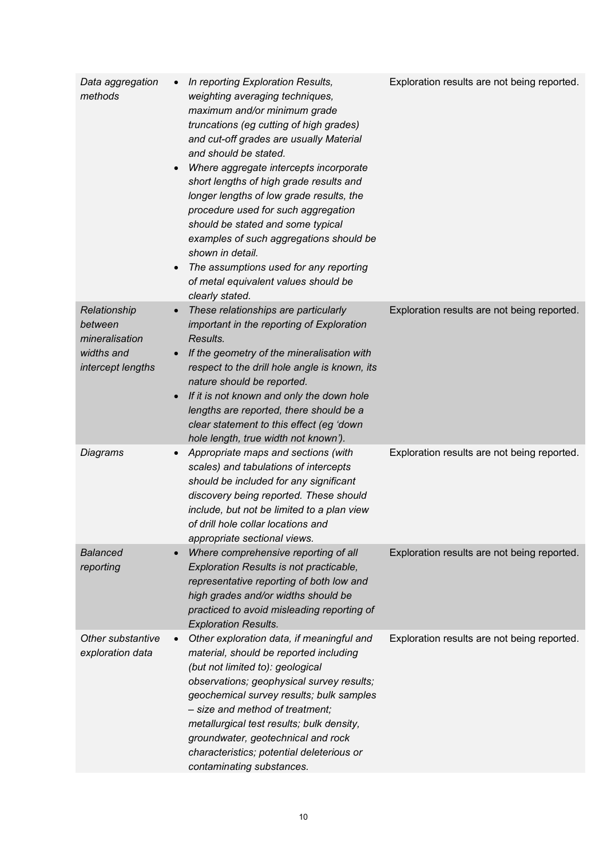| Data aggregation<br>methods                                                  | In reporting Exploration Results,<br>$\bullet$<br>weighting averaging techniques,<br>maximum and/or minimum grade<br>truncations (eg cutting of high grades)<br>and cut-off grades are usually Material<br>and should be stated.<br>Where aggregate intercepts incorporate<br>$\bullet$<br>short lengths of high grade results and<br>longer lengths of low grade results, the<br>procedure used for such aggregation<br>should be stated and some typical<br>examples of such aggregations should be<br>shown in detail.<br>The assumptions used for any reporting<br>$\bullet$<br>of metal equivalent values should be<br>clearly stated. | Exploration results are not being reported. |
|------------------------------------------------------------------------------|---------------------------------------------------------------------------------------------------------------------------------------------------------------------------------------------------------------------------------------------------------------------------------------------------------------------------------------------------------------------------------------------------------------------------------------------------------------------------------------------------------------------------------------------------------------------------------------------------------------------------------------------|---------------------------------------------|
| Relationship<br>between<br>mineralisation<br>widths and<br>intercept lengths | These relationships are particularly<br>$\bullet$<br>important in the reporting of Exploration<br>Results.<br>If the geometry of the mineralisation with<br>$\bullet$<br>respect to the drill hole angle is known, its<br>nature should be reported.<br>If it is not known and only the down hole<br>$\bullet$<br>lengths are reported, there should be a<br>clear statement to this effect (eg 'down<br>hole length, true width not known').                                                                                                                                                                                               | Exploration results are not being reported. |
| Diagrams                                                                     | Appropriate maps and sections (with<br>$\bullet$<br>scales) and tabulations of intercepts<br>should be included for any significant<br>discovery being reported. These should<br>include, but not be limited to a plan view<br>of drill hole collar locations and<br>appropriate sectional views.                                                                                                                                                                                                                                                                                                                                           | Exploration results are not being reported. |
| <b>Balanced</b><br>reporting                                                 | Where comprehensive reporting of all<br>$\bullet$<br>Exploration Results is not practicable,<br>representative reporting of both low and<br>high grades and/or widths should be<br>practiced to avoid misleading reporting of<br><b>Exploration Results.</b>                                                                                                                                                                                                                                                                                                                                                                                | Exploration results are not being reported. |
| Other substantive<br>exploration data                                        | Other exploration data, if meaningful and<br>$\bullet$<br>material, should be reported including<br>(but not limited to): geological<br>observations; geophysical survey results;<br>geochemical survey results; bulk samples<br>- size and method of treatment;<br>metallurgical test results; bulk density,<br>groundwater, geotechnical and rock<br>characteristics; potential deleterious or<br>contaminating substances.                                                                                                                                                                                                               | Exploration results are not being reported. |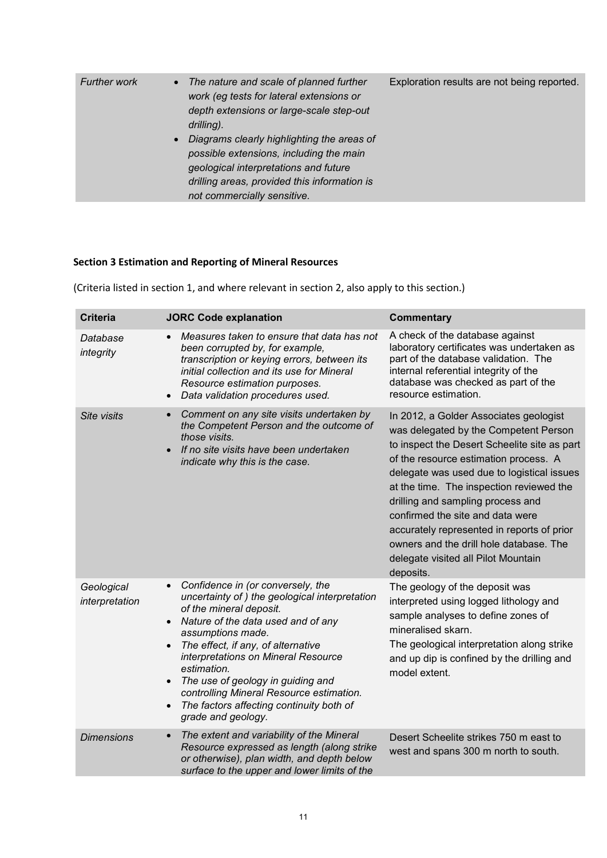| • The nature and scale of planned further<br><b>Further work</b><br>work (eg tests for lateral extensions or<br>depth extensions or large-scale step-out<br>drilling).<br>Diagrams clearly highlighting the areas of<br>$\bullet$<br>possible extensions, including the main<br>geological interpretations and future<br>drilling areas, provided this information is<br>not commercially sensitive. | Exploration results are not being reported. |
|------------------------------------------------------------------------------------------------------------------------------------------------------------------------------------------------------------------------------------------------------------------------------------------------------------------------------------------------------------------------------------------------------|---------------------------------------------|
|------------------------------------------------------------------------------------------------------------------------------------------------------------------------------------------------------------------------------------------------------------------------------------------------------------------------------------------------------------------------------------------------------|---------------------------------------------|

# **Section 3 Estimation and Reporting of Mineral Resources**

(Criteria listed in section 1, and where relevant in section 2, also apply to this section.)

| <b>Criteria</b>              | <b>JORC Code explanation</b>                                                                                                                                                                                                                                                                                                                                                                                                                                                             | <b>Commentary</b>                                                                                                                                                                                                                                                                                                                                                                                                                                                                        |
|------------------------------|------------------------------------------------------------------------------------------------------------------------------------------------------------------------------------------------------------------------------------------------------------------------------------------------------------------------------------------------------------------------------------------------------------------------------------------------------------------------------------------|------------------------------------------------------------------------------------------------------------------------------------------------------------------------------------------------------------------------------------------------------------------------------------------------------------------------------------------------------------------------------------------------------------------------------------------------------------------------------------------|
| Database<br>integrity        | Measures taken to ensure that data has not<br>been corrupted by, for example,<br>transcription or keying errors, between its<br>initial collection and its use for Mineral<br>Resource estimation purposes.<br>Data validation procedures used.<br>$\bullet$                                                                                                                                                                                                                             | A check of the database against<br>laboratory certificates was undertaken as<br>part of the database validation. The<br>internal referential integrity of the<br>database was checked as part of the<br>resource estimation.                                                                                                                                                                                                                                                             |
| Site visits                  | Comment on any site visits undertaken by<br>$\bullet$<br>the Competent Person and the outcome of<br>those visits.<br>If no site visits have been undertaken<br>$\bullet$<br>indicate why this is the case.                                                                                                                                                                                                                                                                               | In 2012, a Golder Associates geologist<br>was delegated by the Competent Person<br>to inspect the Desert Scheelite site as part<br>of the resource estimation process. A<br>delegate was used due to logistical issues<br>at the time. The inspection reviewed the<br>drilling and sampling process and<br>confirmed the site and data were<br>accurately represented in reports of prior<br>owners and the drill hole database. The<br>delegate visited all Pilot Mountain<br>deposits. |
| Geological<br>interpretation | Confidence in (or conversely, the<br>$\bullet$<br>uncertainty of) the geological interpretation<br>of the mineral deposit.<br>Nature of the data used and of any<br>$\bullet$<br>assumptions made.<br>The effect, if any, of alternative<br>$\bullet$<br>interpretations on Mineral Resource<br>estimation.<br>The use of geology in guiding and<br>$\bullet$<br>controlling Mineral Resource estimation.<br>The factors affecting continuity both of<br>$\bullet$<br>grade and geology. | The geology of the deposit was<br>interpreted using logged lithology and<br>sample analyses to define zones of<br>mineralised skarn.<br>The geological interpretation along strike<br>and up dip is confined by the drilling and<br>model extent.                                                                                                                                                                                                                                        |
| <b>Dimensions</b>            | The extent and variability of the Mineral<br>$\bullet$<br>Resource expressed as length (along strike<br>or otherwise), plan width, and depth below<br>surface to the upper and lower limits of the                                                                                                                                                                                                                                                                                       | Desert Scheelite strikes 750 m east to<br>west and spans 300 m north to south.                                                                                                                                                                                                                                                                                                                                                                                                           |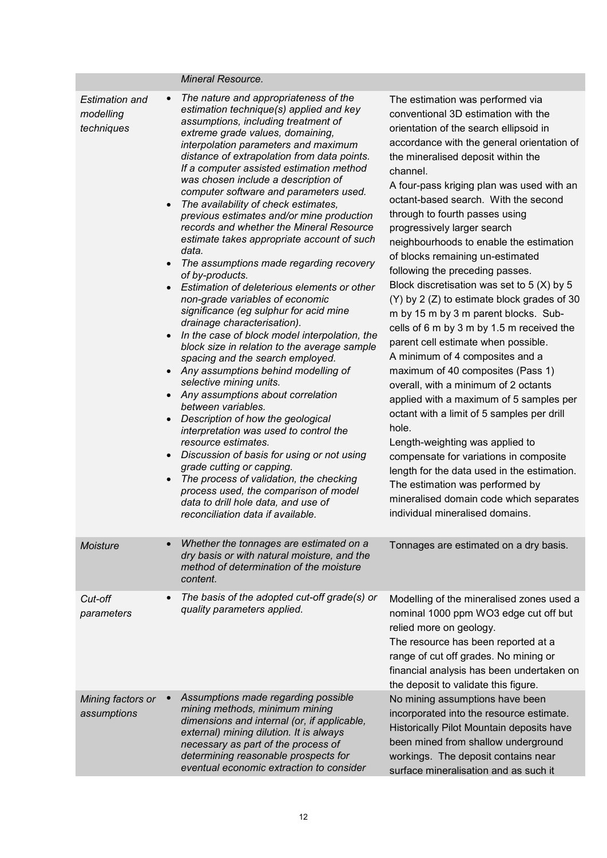|                                                                                                                                | Mineral Resource.                                                                                                                                                                                                                                                                                                                                                                                                                                                                                                                                                                                                                                                                                                                                                                                                                                                                                                                                                                                                                                                                                                                                                                                                                                                                                                                                                                                                   |                                                                                                                                                                                                                                                                                                                                                                                                                                                                                                                                                                                                                                                                                                                                                                                                                                                                                                                                                                                                                                                                                                                                                                                      |
|--------------------------------------------------------------------------------------------------------------------------------|---------------------------------------------------------------------------------------------------------------------------------------------------------------------------------------------------------------------------------------------------------------------------------------------------------------------------------------------------------------------------------------------------------------------------------------------------------------------------------------------------------------------------------------------------------------------------------------------------------------------------------------------------------------------------------------------------------------------------------------------------------------------------------------------------------------------------------------------------------------------------------------------------------------------------------------------------------------------------------------------------------------------------------------------------------------------------------------------------------------------------------------------------------------------------------------------------------------------------------------------------------------------------------------------------------------------------------------------------------------------------------------------------------------------|--------------------------------------------------------------------------------------------------------------------------------------------------------------------------------------------------------------------------------------------------------------------------------------------------------------------------------------------------------------------------------------------------------------------------------------------------------------------------------------------------------------------------------------------------------------------------------------------------------------------------------------------------------------------------------------------------------------------------------------------------------------------------------------------------------------------------------------------------------------------------------------------------------------------------------------------------------------------------------------------------------------------------------------------------------------------------------------------------------------------------------------------------------------------------------------|
| <b>Estimation and</b><br>modelling<br>techniques<br>$\bullet$<br>$\bullet$<br>$\bullet$<br>$\bullet$<br>$\bullet$<br>$\bullet$ | The nature and appropriateness of the<br>estimation technique(s) applied and key<br>assumptions, including treatment of<br>extreme grade values, domaining,<br>interpolation parameters and maximum<br>distance of extrapolation from data points.<br>If a computer assisted estimation method<br>was chosen include a description of<br>computer software and parameters used.<br>The availability of check estimates,<br>previous estimates and/or mine production<br>records and whether the Mineral Resource<br>estimate takes appropriate account of such<br>data.<br>The assumptions made regarding recovery<br>of by-products.<br>Estimation of deleterious elements or other<br>non-grade variables of economic<br>significance (eg sulphur for acid mine<br>drainage characterisation).<br>In the case of block model interpolation, the<br>block size in relation to the average sample<br>spacing and the search employed.<br>Any assumptions behind modelling of<br>selective mining units.<br>Any assumptions about correlation<br>between variables.<br>Description of how the geological<br>interpretation was used to control the<br>resource estimates.<br>Discussion of basis for using or not using<br>grade cutting or capping.<br>The process of validation, the checking<br>process used, the comparison of model<br>data to drill hole data, and use of<br>reconciliation data if available. | The estimation was performed via<br>conventional 3D estimation with the<br>orientation of the search ellipsoid in<br>accordance with the general orientation of<br>the mineralised deposit within the<br>channel.<br>A four-pass kriging plan was used with an<br>octant-based search. With the second<br>through to fourth passes using<br>progressively larger search<br>neighbourhoods to enable the estimation<br>of blocks remaining un-estimated<br>following the preceding passes.<br>Block discretisation was set to $5(X)$ by $5$<br>(Y) by 2 (Z) to estimate block grades of 30<br>m by 15 m by 3 m parent blocks. Sub-<br>cells of 6 m by 3 m by 1.5 m received the<br>parent cell estimate when possible.<br>A minimum of 4 composites and a<br>maximum of 40 composites (Pass 1)<br>overall, with a minimum of 2 octants<br>applied with a maximum of 5 samples per<br>octant with a limit of 5 samples per drill<br>hole.<br>Length-weighting was applied to<br>compensate for variations in composite<br>length for the data used in the estimation.<br>The estimation was performed by<br>mineralised domain code which separates<br>individual mineralised domains. |
| <b>Moisture</b>                                                                                                                | Whether the tonnages are estimated on a<br>dry basis or with natural moisture, and the<br>method of determination of the moisture<br>content.                                                                                                                                                                                                                                                                                                                                                                                                                                                                                                                                                                                                                                                                                                                                                                                                                                                                                                                                                                                                                                                                                                                                                                                                                                                                       | Tonnages are estimated on a dry basis.                                                                                                                                                                                                                                                                                                                                                                                                                                                                                                                                                                                                                                                                                                                                                                                                                                                                                                                                                                                                                                                                                                                                               |
| $\bullet$<br>Cut-off<br>parameters                                                                                             | The basis of the adopted cut-off grade(s) or<br>quality parameters applied.                                                                                                                                                                                                                                                                                                                                                                                                                                                                                                                                                                                                                                                                                                                                                                                                                                                                                                                                                                                                                                                                                                                                                                                                                                                                                                                                         | Modelling of the mineralised zones used a<br>nominal 1000 ppm WO3 edge cut off but<br>relied more on geology.<br>The resource has been reported at a<br>range of cut off grades. No mining or<br>financial analysis has been undertaken on<br>the deposit to validate this figure.                                                                                                                                                                                                                                                                                                                                                                                                                                                                                                                                                                                                                                                                                                                                                                                                                                                                                                   |
| Mining factors or<br>assumptions                                                                                               | Assumptions made regarding possible<br>mining methods, minimum mining<br>dimensions and internal (or, if applicable,<br>external) mining dilution. It is always<br>necessary as part of the process of<br>determining reasonable prospects for<br>eventual economic extraction to consider                                                                                                                                                                                                                                                                                                                                                                                                                                                                                                                                                                                                                                                                                                                                                                                                                                                                                                                                                                                                                                                                                                                          | No mining assumptions have been<br>incorporated into the resource estimate.<br>Historically Pilot Mountain deposits have<br>been mined from shallow underground<br>workings. The deposit contains near<br>surface mineralisation and as such it                                                                                                                                                                                                                                                                                                                                                                                                                                                                                                                                                                                                                                                                                                                                                                                                                                                                                                                                      |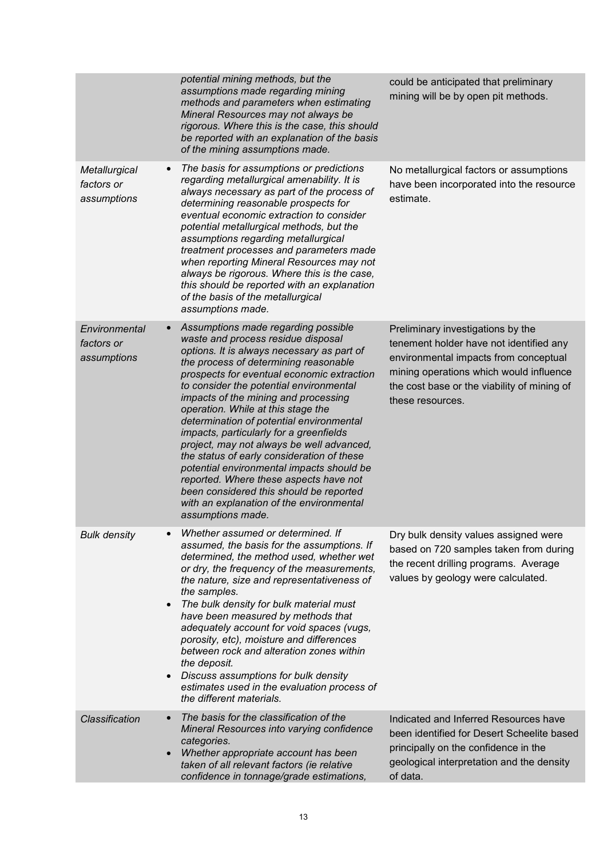|                                                         | potential mining methods, but the<br>assumptions made regarding mining<br>methods and parameters when estimating<br>Mineral Resources may not always be<br>rigorous. Where this is the case, this should<br>be reported with an explanation of the basis<br>of the mining assumptions made.                                                                                                                                                                                                                                                                                                                                                                                                                                  | could be anticipated that preliminary<br>mining will be by open pit methods.                                                                                                                                                        |
|---------------------------------------------------------|------------------------------------------------------------------------------------------------------------------------------------------------------------------------------------------------------------------------------------------------------------------------------------------------------------------------------------------------------------------------------------------------------------------------------------------------------------------------------------------------------------------------------------------------------------------------------------------------------------------------------------------------------------------------------------------------------------------------------|-------------------------------------------------------------------------------------------------------------------------------------------------------------------------------------------------------------------------------------|
| $\bullet$<br>Metallurgical<br>factors or<br>assumptions | The basis for assumptions or predictions<br>regarding metallurgical amenability. It is<br>always necessary as part of the process of<br>determining reasonable prospects for<br>eventual economic extraction to consider<br>potential metallurgical methods, but the<br>assumptions regarding metallurgical<br>treatment processes and parameters made<br>when reporting Mineral Resources may not<br>always be rigorous. Where this is the case,<br>this should be reported with an explanation<br>of the basis of the metallurgical<br>assumptions made.                                                                                                                                                                   | No metallurgical factors or assumptions<br>have been incorporated into the resource<br>estimate.                                                                                                                                    |
| Environmental<br>$\bullet$<br>factors or<br>assumptions | Assumptions made regarding possible<br>waste and process residue disposal<br>options. It is always necessary as part of<br>the process of determining reasonable<br>prospects for eventual economic extraction<br>to consider the potential environmental<br>impacts of the mining and processing<br>operation. While at this stage the<br>determination of potential environmental<br>impacts, particularly for a greenfields<br>project, may not always be well advanced,<br>the status of early consideration of these<br>potential environmental impacts should be<br>reported. Where these aspects have not<br>been considered this should be reported<br>with an explanation of the environmental<br>assumptions made. | Preliminary investigations by the<br>tenement holder have not identified any<br>environmental impacts from conceptual<br>mining operations which would influence<br>the cost base or the viability of mining of<br>these resources. |
| <b>Bulk density</b><br>$\bullet$<br>$\bullet$           | Whether assumed or determined. If<br>assumed, the basis for the assumptions. If<br>determined, the method used, whether wet<br>or dry, the frequency of the measurements,<br>the nature, size and representativeness of<br>the samples.<br>The bulk density for bulk material must<br>have been measured by methods that<br>adequately account for void spaces (vugs,<br>porosity, etc), moisture and differences<br>between rock and alteration zones within<br>the deposit.<br>Discuss assumptions for bulk density<br>estimates used in the evaluation process of<br>the different materials.                                                                                                                             | Dry bulk density values assigned were<br>based on 720 samples taken from during<br>the recent drilling programs. Average<br>values by geology were calculated.                                                                      |
| <b>Classification</b><br>$\bullet$<br>$\bullet$         | The basis for the classification of the<br>Mineral Resources into varying confidence<br>categories.<br>Whether appropriate account has been<br>taken of all relevant factors (ie relative<br>confidence in tonnage/grade estimations,                                                                                                                                                                                                                                                                                                                                                                                                                                                                                        | Indicated and Inferred Resources have<br>been identified for Desert Scheelite based<br>principally on the confidence in the<br>geological interpretation and the density<br>of data.                                                |